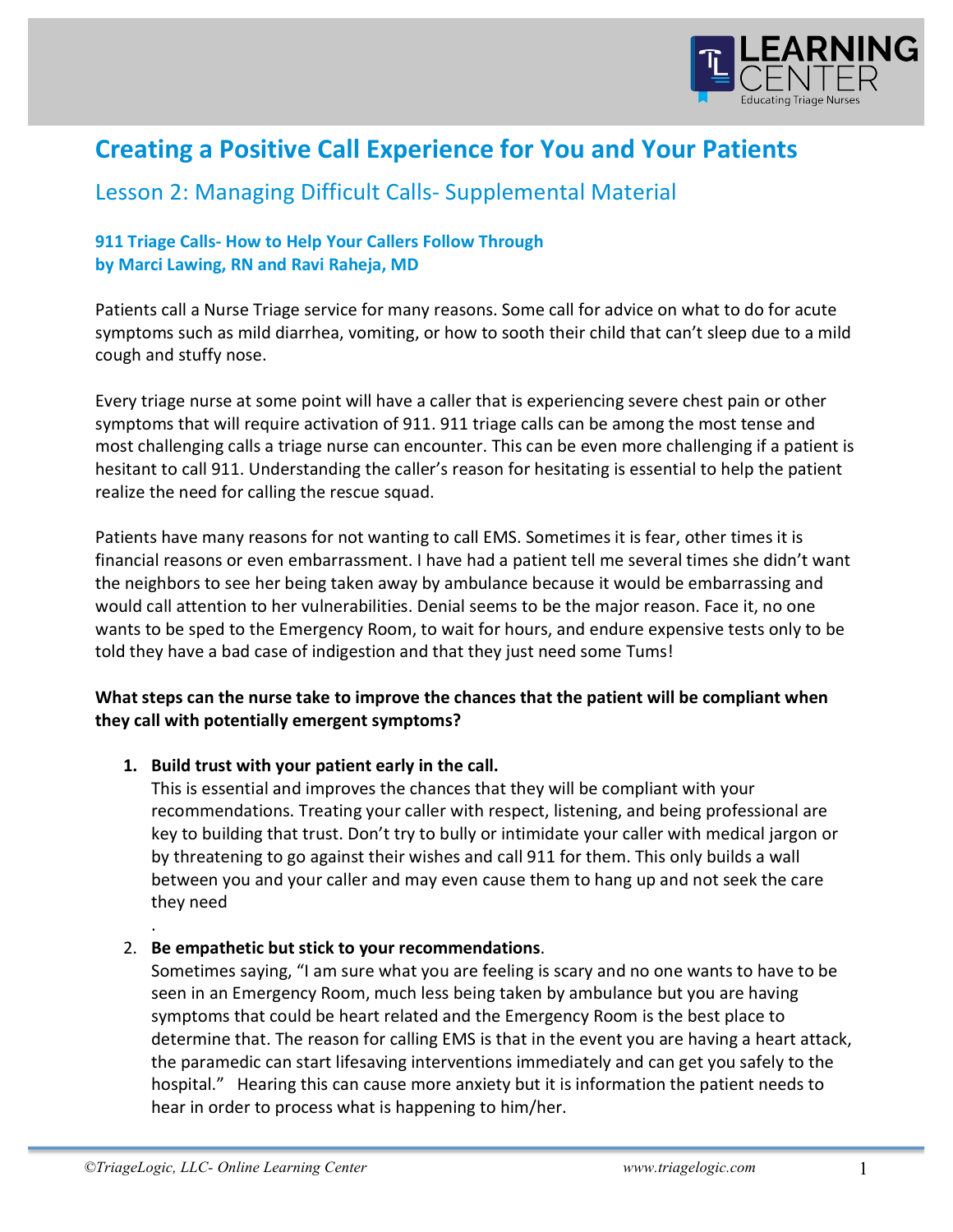

# **Creating a Positive Call Experience for You and Your Patients**

# Lesson 2: Managing Difficult Calls- Supplemental Material

## **911 Triage Calls- How to Help Your Callers Follow Through** by Marci Lawing, RN and Ravi Raheja, MD

Patients call a Nurse Triage service for many reasons. Some call for advice on what to do for acute symptoms such as mild diarrhea, vomiting, or how to sooth their child that can't sleep due to a mild cough and stuffy nose.

Every triage nurse at some point will have a caller that is experiencing severe chest pain or other symptoms that will require activation of 911. 911 triage calls can be among the most tense and most challenging calls a triage nurse can encounter. This can be even more challenging if a patient is hesitant to call 911. Understanding the caller's reason for hesitating is essential to help the patient realize the need for calling the rescue squad.

Patients have many reasons for not wanting to call EMS. Sometimes it is fear, other times it is financial reasons or even embarrassment. I have had a patient tell me several times she didn't want the neighbors to see her being taken away by ambulance because it would be embarrassing and would call attention to her vulnerabilities. Denial seems to be the major reason. Face it, no one wants to be sped to the Emergency Room, to wait for hours, and endure expensive tests only to be told they have a bad case of indigestion and that they just need some Tums!

### **What steps can the nurse take to improve the chances that the patient will be compliant when** they call with potentially emergent symptoms?

#### 1. Build trust with your patient early in the call.

This is essential and improves the chances that they will be compliant with your recommendations. Treating your caller with respect, listening, and being professional are key to building that trust. Don't try to bully or intimidate your caller with medical jargon or by threatening to go against their wishes and call 911 for them. This only builds a wall between you and your caller and may even cause them to hang up and not seek the care they need

### 2. Be empathetic but stick to your recommendations.

Sometimes saying, "I am sure what you are feeling is scary and no one wants to have to be seen in an Emergency Room, much less being taken by ambulance but you are having symptoms that could be heart related and the Emergency Room is the best place to determine that. The reason for calling EMS is that in the event you are having a heart attack, the paramedic can start lifesaving interventions immediately and can get you safely to the hospital." Hearing this can cause more anxiety but it is information the patient needs to hear in order to process what is happening to him/her.

.